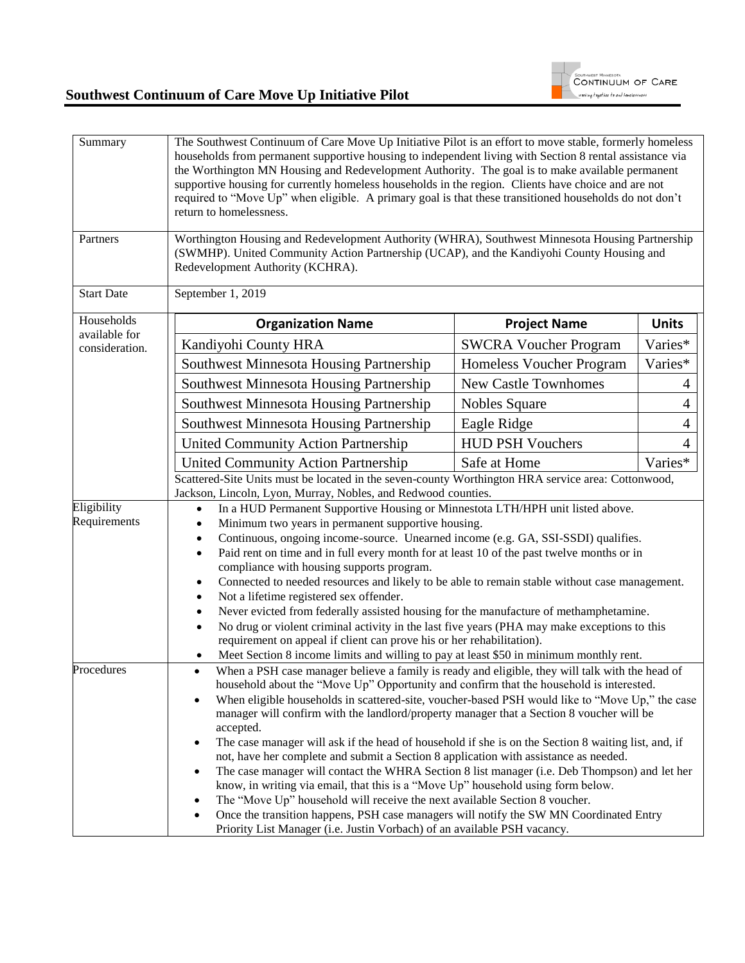

| Summary                     | The Southwest Continuum of Care Move Up Initiative Pilot is an effort to move stable, formerly homeless<br>households from permanent supportive housing to independent living with Section 8 rental assistance via<br>the Worthington MN Housing and Redevelopment Authority. The goal is to make available permanent<br>supportive housing for currently homeless households in the region. Clients have choice and are not<br>required to "Move Up" when eligible. A primary goal is that these transitioned households do not don't<br>return to homelessness.                                                                                                                                                                                                                                                                                                                                                                                                                                                                                                                                                                                     |                              |              |  |  |
|-----------------------------|-------------------------------------------------------------------------------------------------------------------------------------------------------------------------------------------------------------------------------------------------------------------------------------------------------------------------------------------------------------------------------------------------------------------------------------------------------------------------------------------------------------------------------------------------------------------------------------------------------------------------------------------------------------------------------------------------------------------------------------------------------------------------------------------------------------------------------------------------------------------------------------------------------------------------------------------------------------------------------------------------------------------------------------------------------------------------------------------------------------------------------------------------------|------------------------------|--------------|--|--|
| Partners                    | Worthington Housing and Redevelopment Authority (WHRA), Southwest Minnesota Housing Partnership<br>(SWMHP). United Community Action Partnership (UCAP), and the Kandiyohi County Housing and<br>Redevelopment Authority (KCHRA).                                                                                                                                                                                                                                                                                                                                                                                                                                                                                                                                                                                                                                                                                                                                                                                                                                                                                                                      |                              |              |  |  |
| <b>Start Date</b>           | September 1, 2019                                                                                                                                                                                                                                                                                                                                                                                                                                                                                                                                                                                                                                                                                                                                                                                                                                                                                                                                                                                                                                                                                                                                     |                              |              |  |  |
| Households<br>available for | <b>Organization Name</b>                                                                                                                                                                                                                                                                                                                                                                                                                                                                                                                                                                                                                                                                                                                                                                                                                                                                                                                                                                                                                                                                                                                              | <b>Project Name</b>          | <b>Units</b> |  |  |
| consideration.              | Kandiyohi County HRA                                                                                                                                                                                                                                                                                                                                                                                                                                                                                                                                                                                                                                                                                                                                                                                                                                                                                                                                                                                                                                                                                                                                  | <b>SWCRA Voucher Program</b> | Varies*      |  |  |
|                             | <b>Southwest Minnesota Housing Partnership</b>                                                                                                                                                                                                                                                                                                                                                                                                                                                                                                                                                                                                                                                                                                                                                                                                                                                                                                                                                                                                                                                                                                        | Homeless Voucher Program     | Varies*      |  |  |
|                             | Southwest Minnesota Housing Partnership                                                                                                                                                                                                                                                                                                                                                                                                                                                                                                                                                                                                                                                                                                                                                                                                                                                                                                                                                                                                                                                                                                               | <b>New Castle Townhomes</b>  | 4            |  |  |
|                             | Southwest Minnesota Housing Partnership                                                                                                                                                                                                                                                                                                                                                                                                                                                                                                                                                                                                                                                                                                                                                                                                                                                                                                                                                                                                                                                                                                               | Nobles Square                | 4            |  |  |
|                             | Southwest Minnesota Housing Partnership                                                                                                                                                                                                                                                                                                                                                                                                                                                                                                                                                                                                                                                                                                                                                                                                                                                                                                                                                                                                                                                                                                               | Eagle Ridge                  | 4            |  |  |
|                             | <b>United Community Action Partnership</b>                                                                                                                                                                                                                                                                                                                                                                                                                                                                                                                                                                                                                                                                                                                                                                                                                                                                                                                                                                                                                                                                                                            | <b>HUD PSH Vouchers</b>      | 4            |  |  |
|                             | <b>United Community Action Partnership</b>                                                                                                                                                                                                                                                                                                                                                                                                                                                                                                                                                                                                                                                                                                                                                                                                                                                                                                                                                                                                                                                                                                            | Safe at Home                 | Varies*      |  |  |
|                             | Scattered-Site Units must be located in the seven-county Worthington HRA service area: Cottonwood,                                                                                                                                                                                                                                                                                                                                                                                                                                                                                                                                                                                                                                                                                                                                                                                                                                                                                                                                                                                                                                                    |                              |              |  |  |
| Eligibility<br>Requirements | Jackson, Lincoln, Lyon, Murray, Nobles, and Redwood counties.<br>In a HUD Permanent Supportive Housing or Minnestota LTH/HPH unit listed above.<br>Minimum two years in permanent supportive housing.<br>$\bullet$<br>Continuous, ongoing income-source. Unearned income (e.g. GA, SSI-SSDI) qualifies.<br>٠<br>Paid rent on time and in full every month for at least 10 of the past twelve months or in<br>٠<br>compliance with housing supports program.<br>Connected to needed resources and likely to be able to remain stable without case management.<br>٠<br>Not a lifetime registered sex offender.<br>Never evicted from federally assisted housing for the manufacture of methamphetamine.<br>٠<br>No drug or violent criminal activity in the last five years (PHA may make exceptions to this<br>٠<br>requirement on appeal if client can prove his or her rehabilitation).                                                                                                                                                                                                                                                              |                              |              |  |  |
| Procedures                  | Meet Section 8 income limits and willing to pay at least \$50 in minimum monthly rent.<br>When a PSH case manager believe a family is ready and eligible, they will talk with the head of<br>$\bullet$<br>household about the "Move Up" Opportunity and confirm that the household is interested.<br>When eligible households in scattered-site, voucher-based PSH would like to "Move Up," the case<br>manager will confirm with the landlord/property manager that a Section 8 voucher will be<br>accepted.<br>The case manager will ask if the head of household if she is on the Section 8 waiting list, and, if<br>not, have her complete and submit a Section 8 application with assistance as needed.<br>The case manager will contact the WHRA Section 8 list manager (i.e. Deb Thompson) and let her<br>know, in writing via email, that this is a "Move Up" household using form below.<br>The "Move Up" household will receive the next available Section 8 voucher.<br>Once the transition happens, PSH case managers will notify the SW MN Coordinated Entry<br>Priority List Manager (i.e. Justin Vorbach) of an available PSH vacancy. |                              |              |  |  |